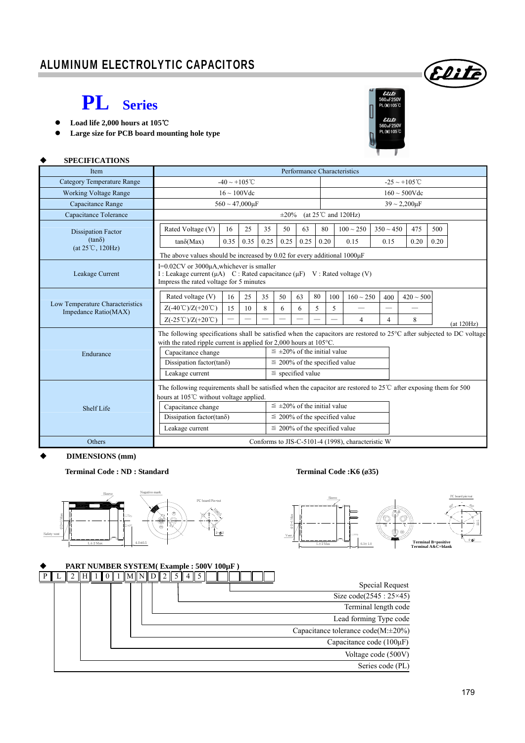### ALUMINUM ELECTROLYTIC CAPACITORS

### **PL Series**

**Load life 2,000 hours at 105**℃

 **SPECIFICATIONS** 

**Large size for PCB board mounting hole type** 



(Elit

| <b>Item</b>                                             |                                                                                                                                                                                                        |                                                                                                                                                                         |                         |      |                                      | Performance Characteristics |      |                    |                                                   |                |                    |      |            |  |
|---------------------------------------------------------|--------------------------------------------------------------------------------------------------------------------------------------------------------------------------------------------------------|-------------------------------------------------------------------------------------------------------------------------------------------------------------------------|-------------------------|------|--------------------------------------|-----------------------------|------|--------------------|---------------------------------------------------|----------------|--------------------|------|------------|--|
| <b>Category Temperature Range</b>                       |                                                                                                                                                                                                        | $-40 \sim +105^{\circ}$ C                                                                                                                                               |                         |      |                                      |                             |      |                    |                                                   |                | $-25 \sim +105$ °C |      |            |  |
| <b>Working Voltage Range</b>                            |                                                                                                                                                                                                        | $16 \sim 100$ Vdc                                                                                                                                                       |                         |      |                                      |                             |      |                    |                                                   |                | $160 \sim 500$ Vdc |      |            |  |
| Capacitance Range                                       |                                                                                                                                                                                                        |                                                                                                                                                                         | $560 \sim 47,000 \mu F$ |      |                                      |                             |      | $39 - 2,200 \mu F$ |                                                   |                |                    |      |            |  |
| Capacitance Tolerance                                   | (at $25^{\circ}$ C and $120\text{Hz}$ )<br>$\pm 20\%$                                                                                                                                                  |                                                                                                                                                                         |                         |      |                                      |                             |      |                    |                                                   |                |                    |      |            |  |
| <b>Dissipation Factor</b>                               | Rated Voltage (V)                                                                                                                                                                                      | 16                                                                                                                                                                      | 25                      | 35   | 50                                   | 63                          | 80   |                    | $100 \sim 250$                                    | $350 \sim 450$ | 475                | 500  |            |  |
| $(tan\delta)$<br>$(at 25^{\circ}C, 120Hz)$              | $tan\delta(Max)$                                                                                                                                                                                       | 0.35                                                                                                                                                                    | 0.35                    | 0.25 | 0.25                                 | 0.25                        | 0.20 |                    | 0.15                                              | 0.15           | 0.20               | 0.20 |            |  |
|                                                         | The above values should be increased by 0.02 for every additional $1000\mu$ F                                                                                                                          |                                                                                                                                                                         |                         |      |                                      |                             |      |                    |                                                   |                |                    |      |            |  |
| Leakage Current                                         |                                                                                                                                                                                                        | I=0.02CV or 3000µA, whichever is smaller<br>I: Leakage current $(\mu A)$ C: Rated capacitance $(\mu F)$ V: Rated voltage (V)<br>Impress the rated voltage for 5 minutes |                         |      |                                      |                             |      |                    |                                                   |                |                    |      |            |  |
|                                                         | Rated voltage (V)                                                                                                                                                                                      | 16                                                                                                                                                                      | 25                      | 35   | 50                                   | 63                          | 80   | 100                | $160 \sim 250$                                    | 400            | $420 \sim 500$     |      |            |  |
| Low Temperature Characteristics<br>Impedance Ratio(MAX) | $Z(-40^{\circ}\text{C})/Z(+20^{\circ}\text{C})$                                                                                                                                                        | 15                                                                                                                                                                      | 10                      | 8    | 6                                    | 6                           | 5    | 5                  |                                                   |                |                    |      |            |  |
|                                                         | $Z(-25^{\circ}\text{C})/Z(+20^{\circ}\text{C})$                                                                                                                                                        |                                                                                                                                                                         |                         |      |                                      |                             |      |                    | 4                                                 | $\overline{4}$ | 8                  |      | (at 120Hz) |  |
|                                                         | The following specifications shall be satisfied when the capacitors are restored to $25^{\circ}$ C after subjected to DC voltage<br>with the rated ripple current is applied for 2,000 hours at 105°C. |                                                                                                                                                                         |                         |      |                                      |                             |      |                    |                                                   |                |                    |      |            |  |
| Endurance                                               | Capacitance change                                                                                                                                                                                     |                                                                                                                                                                         |                         |      | $\leq \pm 20\%$ of the initial value |                             |      |                    |                                                   |                |                    |      |            |  |
|                                                         | Dissipation factor(tan $\delta$ )                                                                                                                                                                      |                                                                                                                                                                         |                         |      | $\leq$ 200% of the specified value   |                             |      |                    |                                                   |                |                    |      |            |  |
|                                                         | Leakage current                                                                                                                                                                                        |                                                                                                                                                                         |                         |      | $\le$ specified value                |                             |      |                    |                                                   |                |                    |      |            |  |
|                                                         | The following requirements shall be satisfied when the capacitor are restored to $25^{\circ}$ C after exposing them for 500<br>hours at 105°C without voltage applied.                                 |                                                                                                                                                                         |                         |      |                                      |                             |      |                    |                                                   |                |                    |      |            |  |
| Shelf Life                                              | Capacitance change                                                                                                                                                                                     |                                                                                                                                                                         |                         |      | $\leq \pm 20\%$ of the initial value |                             |      |                    |                                                   |                |                    |      |            |  |
|                                                         | Dissipation factor(tan $\delta$ )                                                                                                                                                                      |                                                                                                                                                                         |                         |      | $\leq$ 200% of the specified value   |                             |      |                    |                                                   |                |                    |      |            |  |
|                                                         | Leakage current                                                                                                                                                                                        |                                                                                                                                                                         |                         |      | $\leq$ 200% of the specified value   |                             |      |                    |                                                   |                |                    |      |            |  |
| Others                                                  |                                                                                                                                                                                                        |                                                                                                                                                                         |                         |      |                                      |                             |      |                    | Conforms to JIS-C-5101-4 (1998), characteristic W |                |                    |      |            |  |

#### **DIMENSIONS (mm)**

**Terminal Code : ND : Standard Terminal Code :K6 (**ø**35)** 





|  | PART NUMBER SYSTEM(Example: 500V 100µF) |  |  |  |                     |  |  |  |  |  |                                          |
|--|-----------------------------------------|--|--|--|---------------------|--|--|--|--|--|------------------------------------------|
|  |                                         |  |  |  | $\ M\ N\ D\ 2\ 5\ $ |  |  |  |  |  |                                          |
|  |                                         |  |  |  |                     |  |  |  |  |  | Special Request                          |
|  |                                         |  |  |  |                     |  |  |  |  |  | Size code(2545 : $25\times 45$ )         |
|  |                                         |  |  |  |                     |  |  |  |  |  | Terminal length code                     |
|  |                                         |  |  |  |                     |  |  |  |  |  | Lead forming Type code                   |
|  |                                         |  |  |  |                     |  |  |  |  |  | Capacitance tolerance $code(M:\pm 20\%)$ |
|  |                                         |  |  |  |                     |  |  |  |  |  | Capacitance code $(100\mu F)$            |
|  |                                         |  |  |  |                     |  |  |  |  |  | Voltage code (500V)                      |
|  |                                         |  |  |  |                     |  |  |  |  |  | Series code (PL)                         |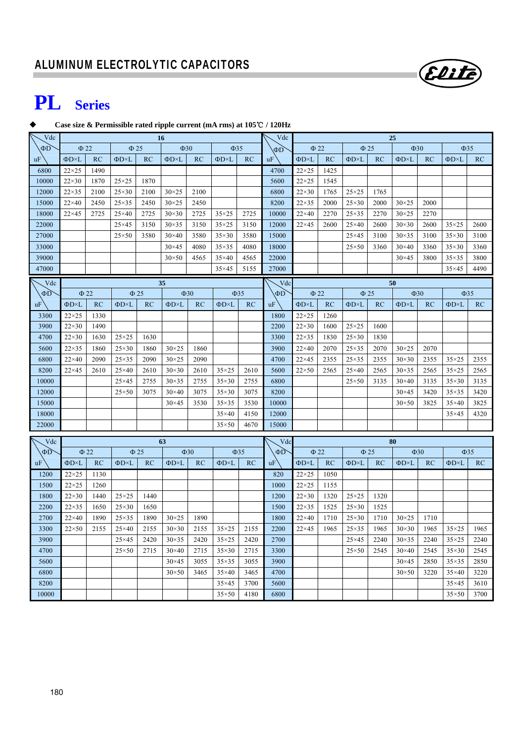# **PL Series**

#### **Case size & Permissible rated ripple current (mA rms) at 105 /** ℃ **120Hz**

| Vdc      | <b>16</b>           |           |                     |           |                     |           |                     |           |           | 25                                        |           |                     |      |                     |      |                     |           |
|----------|---------------------|-----------|---------------------|-----------|---------------------|-----------|---------------------|-----------|-----------|-------------------------------------------|-----------|---------------------|------|---------------------|------|---------------------|-----------|
| $\Phi$ D | $\Phi$ 22           |           | $\Phi$ 25           |           | $\Phi$ 30           |           | $\Phi$ 35           |           | ΦD        | $\Phi$ 22                                 |           | $\Phi$ 25           |      | $\Phi$ 30           |      |                     | $\Phi$ 35 |
| uF       | $\Phi$ D×L          | <b>RC</b> | $\Phi$ D $\times$ L | RC        | $\Phi$ D $\times$ L | RC        | $\Phi$ D $\times$ L | RC        | uF        | $\Phi$ D×L                                | <b>RC</b> | $\Phi$ D×L          | RC   | $\Phi$ D $\times$ L | RC   | $\Phi$ D $\times$ L | RC        |
| 6800     | $22\times25$        | 1490      |                     |           |                     |           |                     |           | 4700      | $22\times25$                              | 1425      |                     |      |                     |      |                     |           |
| 10000    | $22\times30$        | 1870      | $25\times25$        | 1870      |                     |           |                     |           | 5600      | $22\times25$                              | 1545      |                     |      |                     |      |                     |           |
| 12000    | $22\times35$        | 2100      | $25\times30$        | 2100      | $30\times25$        | 2100      |                     |           | 6800      | $22\times30$                              | 1765      | $25\times25$        | 1765 |                     |      |                     |           |
| 15000    | $22\times40$        | 2450      | $25\times35$        | 2450      | $30 \times 25$      | 2450      |                     |           | 8200      | $22\times35$                              | 2000      | $25\times30$        | 2000 | $30\times25$        | 2000 |                     |           |
| 18000    | $22\times 45$       | 2725      | $25\times40$        | 2725      | $30\times30$        | 2725      | $35\times25$        | 2725      | 10000     | $22\times40$                              | 2270      | $25\times35$        | 2270 | $30\times25$        | 2270 |                     |           |
| 22000    |                     |           | $25\times 45$       | 3150      | $30\times35$        | 3150      | $35\times25$        | 3150      | 12000     | $22\times 45$                             | 2600      | $25\times40$        | 2600 | $30\times30$        | 2600 | $35\times25$        | 2600      |
| 27000    |                     |           | $25 \times 50$      | 3580      | $30\times40$        | 3580      | $35\times30$        | 3580      | 15000     |                                           |           | $25\times 45$       | 3100 | $30\times35$        | 3100 | $35\times30$        | 3100      |
| 33000    |                     |           |                     |           | $30\times45$        | 4080      | $35\times35$        | 4080      | 18000     |                                           |           | $25\times50$        | 3360 | $30\times40$        | 3360 | $35\times30$        | 3360      |
| 39000    |                     |           |                     |           | $30\times50$        | 4565      | $35\times40$        | 4565      | 22000     |                                           |           |                     |      | $30\times45$        | 3800 | $35\times35$        | 3800      |
| 47000    |                     |           |                     |           |                     |           | $35\times45$        | 5155      | 27000     |                                           |           |                     |      |                     |      | $35\times45$        | 4490      |
| Vdc      |                     |           |                     |           | 35                  |           |                     |           | Vdc       |                                           |           |                     |      | 50                  |      |                     |           |
| $\Phi$ D | $\Phi$ 22           |           |                     | $\Phi$ 25 |                     | $\Phi$ 30 |                     | $\Phi$ 35 | $\Phi$ D  | $\Phi$ 22                                 |           | $\Phi$ 25           |      | $\Phi$ 30           |      |                     | $\Phi$ 35 |
| uF       | $\Phi$ D $\times$ L | RC        | $\Phi$ D $\times$ L | RC        | $\Phi D \times L$   | RC        | $\Phi$ D $\times$ L | RC        | <b>uF</b> | ФD×L                                      | RC        | $\Phi$ D $\times$ L | RC   | $\Phi$ D $\times$ L | RC   | ΦD×L                | RC        |
| 3300     | $22\times25$        | 1330      |                     |           |                     |           |                     |           | 1800      | $22\times25$                              | 1260      |                     |      |                     |      |                     |           |
| 3900     | $22\times30$        | 1490      |                     |           |                     |           |                     |           | 2200      | $22\times30$                              | 1600      | $25 \times 25$      | 1600 |                     |      |                     |           |
| 4700     | $22\times30$        | 1630      | $25\times25$        | 1630      |                     |           |                     |           | 3300      | $22\times35$                              | 1830      | $25\times30$        | 1830 |                     |      |                     |           |
| 5600     | $22\times35$        | 1860      | $25\times30$        | 1860      | $30\times25$        | 1860      |                     |           | 3900      | $22\times 40$                             | 2070      | $25\times35$        | 2070 | $30\times25$        | 2070 |                     |           |
| 6800     | $22\times40$        | 2090      | $25\times35$        | 2090      | $30 \times 25$      | 2090      |                     |           | 4700      | $22\times 45$                             | 2355      | $25\times35$        | 2355 | $30\times30$        | 2355 | $35\times25$        | 2355      |
| 8200     | $22\times 45$       | 2610      | $25\times40$        | 2610      | $30\times30$        | 2610      | $35\times25$        | 2610      | 5600      | $22\times50$                              | 2565      | $25\times40$        | 2565 | $30\times35$        | 2565 | $35\times25$        | 2565      |
| 10000    |                     |           | $25\times 45$       | 2755      | $30\times35$        | 2755      | $35\times30$        | 2755      | 6800      |                                           |           | $25 \times 50$      | 3135 | $30\times40$        | 3135 | $35\times30$        | 3135      |
| 12000    |                     |           | $25\times50$        | 3075      | $30\times40$        | 3075      | $35\times30$        | 3075      | 8200      |                                           |           |                     |      | $30\times45$        | 3420 | $35\times35$        | 3420      |
| 15000    |                     |           |                     |           | $30\times45$        | 3530      | $35\times35$        | 3530      | 10000     |                                           |           |                     |      | $30\times50$        | 3825 | $35\times40$        | 3825      |
| 18000    |                     |           |                     |           |                     |           | $35\times40$        | 4150      | 12000     |                                           |           |                     |      |                     |      | $35\times45$        | 4320      |
| 22000    |                     |           |                     |           |                     |           | $35\times50$        | 4670      | 15000     |                                           |           |                     |      |                     |      |                     |           |
| Vdc      |                     |           |                     |           | 63                  |           |                     |           | Vdc       |                                           |           |                     |      |                     |      |                     |           |
| ΦD       |                     | $\Phi$ 22 |                     | $\Phi$ 25 |                     | $\Phi$ 30 |                     | $\Phi$ 35 | $\Phi D$  | 80<br>$\Phi$ 22<br>$\Phi$ 25<br>$\Phi$ 30 |           |                     |      |                     |      |                     | $\Phi$ 35 |
| uF       | $\Phi$ D $\times$ L | <b>RC</b> | $\Phi$ D $\times$ L | RC        | $\Phi$ D $\times$ L | RC        | $\Phi$ D $\times$ L | RC        | uF        | $\Phi$ D $\times$ L                       | RC        | $\Phi$ D $\times$ L | RC   | ΦD×L                | RC   | $\Phi$ D $\times$ L | RC        |
| 1200     | $22\times25$        | 1130      |                     |           |                     |           |                     |           | 820       | $22\times25$                              | 1050      |                     |      |                     |      |                     |           |
| 1500     | $22\times25$        | 1260      |                     |           |                     |           |                     |           | 1000      | $22\times25$                              | 1155      |                     |      |                     |      |                     |           |
| 1800     | $22\times30$        | 1440      | $25 \times 25$      | 1440      |                     |           |                     |           | 1200      | $22\times30$                              | 1320      | $25\times25$        | 1320 |                     |      |                     |           |
| 2200     | $22\times35$        | 1650      | $25\times30$        | 1650      |                     |           |                     |           | 1500      | $22\times35$                              | 1525      | $25\times30$        | 1525 |                     |      |                     |           |
| 2700     | $22\times40$        | 1890      | $25\times35$        | 1890      | $30\times25$        | 1890      |                     |           | 1800      | $22\times 40$                             | 1710      | $25\times30$        | 1710 | $30 \times 25$      | 1710 |                     |           |
| 3300     | $22\times50$        | 2155      | $25\times40$        | 2155      | $30\times30$        | 2155      | $35\times25$        | 2155      | 2200      | $22\times 45$                             | 1965      | $25\times35$        | 1965 | $30\times30$        | 1965 | $35\times25$        | 1965      |
| 3900     |                     |           | $25\times 45$       | 2420      | $30\times35$        | 2420      | $35\times25$        | 2420      | 2700      |                                           |           | $25\times 45$       | 2240 | $30\times35$        | 2240 | $35\times25$        | 2240      |
| 4700     |                     |           | $25\times50$        | 2715      | $30\times40$        | 2715      | $35\times30$        | 2715      | 3300      |                                           |           | $25 \times 50$      | 2545 | $30\times40$        | 2545 | $35\times30$        | 2545      |
| 5600     |                     |           |                     |           | $30\times45$        | 3055      | $35\times35$        | 3055      | 3900      |                                           |           |                     |      | $30\times45$        | 2850 | $35\times35$        | 2850      |
| 6800     |                     |           |                     |           | $30\times50$        | 3465      | $35\times40$        | 3465      | 4700      |                                           |           |                     |      | $30\times50$        | 3220 | $35\times40$        | 3220      |
| 8200     |                     |           |                     |           |                     |           | $35\times45$        | 3700      | 5600      |                                           |           |                     |      |                     |      | $35\times45$        | 3610      |
| 10000    |                     |           |                     |           |                     |           | $35\times50$        | 4180      | 6800      |                                           |           |                     |      |                     |      | $35\times50$        | 3700      |

Elite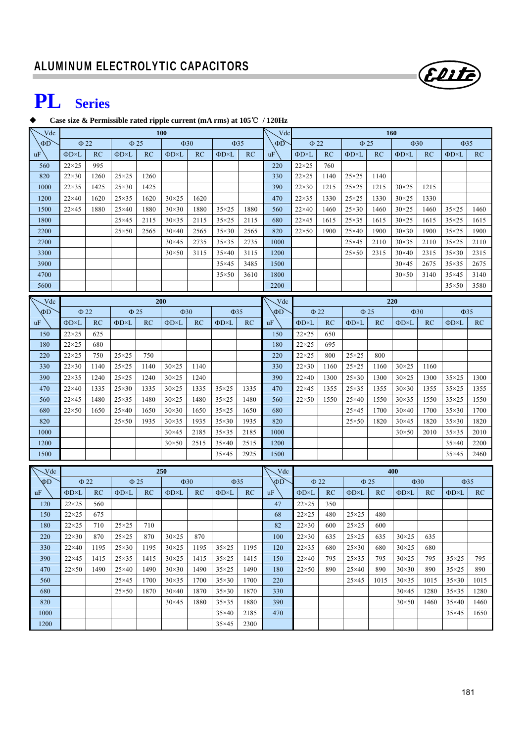

## **PL Series**

#### **Case size & Permissible rated ripple current (mA rms) at 105**℃ **/ 120Hz**

| Vdc      | <b>100</b>          |           |                     |         |                |           |                     |           |           | Vdc<br><b>160</b>   |           |                     |           |                     |           |                   |           |  |
|----------|---------------------|-----------|---------------------|---------|----------------|-----------|---------------------|-----------|-----------|---------------------|-----------|---------------------|-----------|---------------------|-----------|-------------------|-----------|--|
| $\Phi$ D | $\Phi$ 22           |           | $\Phi$ 25           |         |                | $\Phi$ 30 |                     | $\Phi$ 35 | $\Phi$ D  | $\Phi$ 22           |           | $\Phi$ 25           |           | $\Phi$ 30           |           | $\Phi$ 35         |           |  |
| uF       | $\Phi$ D $\times$ L | RC        | $\Phi$ D $\times$ L | RC      | ΦD×L           | RC        | $\Phi$ D $\times$ L | RC        | <b>uF</b> | $\Phi$ D $\times$ L | RC        | ΦD×L                | RC        | $\Phi$ D $\times$ L | RC        | $\Phi D \times L$ | RC        |  |
| 560      | $22\times25$        | 995       |                     |         |                |           |                     |           | 220       | $22\times25$        | 760       |                     |           |                     |           |                   |           |  |
| 820      | $22\times30$        | 1260      | $25\times25$        | 1260    |                |           |                     |           | 330       | $22\times25$        | 1140      | $25\times25$        | 1140      |                     |           |                   |           |  |
| 1000     | $22\times35$        | 1425      | $25\times30$        | 1425    |                |           |                     |           | 390       | $22\times30$        | 1215      | $25\times25$        | 1215      | $30 \times 25$      | 1215      |                   |           |  |
| 1200     | $22\times40$        | 1620      | $25\times35$        | 1620    | $30\times25$   | 1620      |                     |           | 470       | $22\times35$        | 1330      | $25\times25$        | 1330      | $30 \times 25$      | 1330      |                   |           |  |
| 1500     | $22\times 45$       | 1880      | $25\times40$        | 1880    | $30\times30$   | 1880      | $35\times25$        | 1880      | 560       | $22\times40$        | 1460      | $25\times30$        | 1460      | $30 \times 25$      | 1460      | $35\times25$      | 1460      |  |
| 1800     |                     |           | $25\times45$        | 2115    | $30\times35$   | 2115      | $35\times25$        | 2115      | 680       | $22\times 45$       | 1615      | $25\times35$        | 1615      | $30 \times 25$      | 1615      | $35\times25$      | 1615      |  |
| 2200     |                     |           | $25 \times 50$      | 2565    | $30\times40$   | 2565      | $35\times30$        | 2565      | 820       | $22\times50$        | 1900      | $25\times40$        | 1900      | $30\times30$        | 1900      | $35\times25$      | 1900      |  |
| 2700     |                     |           |                     |         | $30\times45$   | 2735      | $35\times35$        | 2735      | 1000      |                     |           | $25\times 45$       | 2110      | $30\times35$        | 2110      | $35\times25$      | 2110      |  |
| 3300     |                     |           |                     |         | $30\times50$   | 3115      | $35\times40$        | 3115      | 1200      |                     |           | $25\times50$        | 2315      | $30\times40$        | 2315      | $35\times30$      | 2315      |  |
| 3900     |                     |           |                     |         |                |           | $35\times45$        | 3485      | 1500      |                     |           |                     |           | $30\times45$        | 2675      | $35\times35$      | 2675      |  |
| 4700     |                     |           |                     |         |                |           | $35\times50$        | 3610      | 1800      |                     |           |                     |           | $30\times50$        | 3140      | $35\times45$      | 3140      |  |
| 5600     |                     |           |                     |         |                |           |                     |           | 2200      |                     |           |                     |           |                     |           | $35\times50$      | 3580      |  |
| Vdc      |                     |           |                     |         | 200            |           |                     |           | Vdc       |                     |           |                     |           | 220                 |           |                   |           |  |
| ФD       | $\Phi$ 22           |           | $\Phi$ 25           |         | $\Phi$ 30      |           | $\Phi$ 35           |           | $\Phi$ D  |                     | $\Phi$ 22 |                     | $\Phi$ 25 |                     | $\Phi$ 30 | $\Phi$ 35         |           |  |
| uF       | $\Phi$ D×L          | RC        | $\Phi$ D $\times$ L | RC      | $\Phi$ D×L     | RC        | $\Phi$ D $\times$ L | RC        | <b>uF</b> | $\Phi$ D $\times$ L | RC        | $\Phi$ D $\times$ L | RC        | ΦD×L                | RC        | ΦD×L              | RC        |  |
| 150      | $22\times25$        | 625       |                     |         |                |           |                     |           | 150       | $22\times25$        | 650       |                     |           |                     |           |                   |           |  |
| 180      | $22\times25$        | 680       |                     |         |                |           |                     |           | 180       | $22\times25$        | 695       |                     |           |                     |           |                   |           |  |
| 220      | $22\times25$        | 750       | $25\times25$        | 750     |                |           |                     |           | 220       | $22\times25$        | 800       | $25\times25$        | 800       |                     |           |                   |           |  |
| 330      | $22\times30$        | 1140      | $25\times25$        | 1140    | $30\times25$   | 1140      |                     |           | 330       | $22\times30$        | 1160      | $25\times25$        | 1160      | $30 \times 25$      | 1160      |                   |           |  |
| 390      | $22\times35$        | 1240      | $25\times25$        | 1240    | $30\times25$   | 1240      |                     |           | 390       | $22\times40$        | 1300      | $25\times30$        | 1300      | $30\times25$        | 1300      | $35\times25$      | 1300      |  |
| 470      | $22\times40$        | 1335      | $25\times30$        | 1335    | $30 \times 25$ | 1335      | $35\times25$        | 1335      | 470       | $22\times 45$       | 1355      | $25\times35$        | 1355      | $30\times30$        | 1355      | $35\times25$      | 1355      |  |
| 560      | $22\times 45$       | 1480      | $25\times35$        | 1480    | $30\times25$   | 1480      | $35 \times 25$      | 1480      | 560       | $22\times50$        | 1550      | $25\times40$        | 1550      | $30\times35$        | 1550      | $35\times25$      | 1550      |  |
| 680      | $22\times50$        | 1650      | $25\times40$        | 1650    | $30\times30$   | 1650      | $35 \times 25$      | 1650      | 680       |                     |           | $25\times45$        | 1700      | $30\times40$        | 1700      | $35\times30$      | 1700      |  |
| 820      |                     |           | $25 \times 50$      | 1935    | $30\times35$   | 1935      | $35\times30$        | 1935      | 820       |                     |           | $25 \times 50$      | 1820      | $30\times45$        | 1820      | $35\times30$      | 1820      |  |
| 1000     |                     |           |                     |         | $30\times45$   | 2185      | $35\times35$        | 2185      | 1000      |                     |           |                     |           | $30\times50$        | 2010      | $35\times35$      | 2010      |  |
| 1200     |                     |           |                     |         | $30\times50$   | 2515      | $35\times40$        | 2515      | 1200      |                     |           |                     |           |                     |           | $35\times40$      | 2200      |  |
| 1500     |                     |           |                     |         |                |           | $35\times45$        | 2925      | 1500      |                     |           |                     |           |                     |           | $35\times45$      | 2460      |  |
| Vdc      |                     |           |                     |         | 250            |           |                     |           | Vdc       | 400                 |           |                     |           |                     |           |                   |           |  |
| ФD       |                     | $\Phi$ 22 | $\Phi$ 25           |         |                | $\Phi$ 30 |                     | $\Phi$ 35 | ΦD        |                     | $\Phi$ 22 |                     | $\Phi$ 25 |                     | $\Phi$ 30 |                   | $\Phi$ 35 |  |
| uF       | ΦD×L                | <b>RC</b> | $\Phi$ D $\times$ L | RC      | ΦD×L           | RC        | ФD×L                | RC        | uF        | $\Phi$ D $\times$ L | RC        | $\Phi D \times L$   | RC        | ΦD×L                | RC        | ΦD×L              | RC        |  |
| 120      | $22\times25$        | 560       |                     |         |                |           |                     |           | 47        | $22\times25$        | 350       |                     |           |                     |           |                   |           |  |
| 150      | $22\times25$        | 675       |                     |         |                |           |                     |           | 68        | $22\times25$        | 480       | $25 \times 25$      | 480       |                     |           |                   |           |  |
| 180      | $22\times25$        | 710       | $25\times25$        | $710\,$ |                |           |                     |           | 82        | $22\times30$        | 600       | $25 \times 25$      | 600       |                     |           |                   |           |  |
| 220      | $22\times30$        | 870       | $25\times25$        | 870     | $30\times25$   | 870       |                     |           | 100       | $22\times30$        | 635       | $25\times25$        | 635       | $30\times25$        | 635       |                   |           |  |
| 330      | $22\times 40$       | 1195      | $25\times30$        | 1195    | $30\times25$   | 1195      | $35\times25$        | 1195      | 120       | $22\times35$        | 680       | $25\times30$        | 680       | $30\times25$        | 680       |                   |           |  |
| 390      | $22\times 45$       | 1415      | $25\times35$        | 1415    | $30\times25$   | 1415      | $35\times25$        | 1415      | 150       | $22\times40$        | 795       | $25\times35$        | 795       | $30\times25$        | 795       | $35\times25$      | 795       |  |
| 470      | $22\times50$        | 1490      | $25\times40$        | 1490    | $30\times30$   | 1490      | $35\times25$        | 1490      | 180       | $22\times50$        | 890       | $25\times40$        | 890       | $30\times30$        | 890       | $35\times25$      | 890       |  |
| 560      |                     |           | $25\times 45$       | 1700    | $30\times35$   | 1700      | $35\times30$        | 1700      | 220       |                     |           | $25\times 45$       | 1015      | $30\times35$        | 1015      | $35\times30$      | 1015      |  |
| 680      |                     |           | $25 \times 50$      | 1870    | $30\times40$   | 1870      | $35\times30$        | 1870      | 330       |                     |           |                     |           | $30\times45$        | 1280      | $35\times35$      | 1280      |  |
| 820      |                     |           |                     |         | $30\times45$   | 1880      | $35\times35$        | 1880      | 390       |                     |           |                     |           | $30\times50$        | 1460      | $35\times40$      | 1460      |  |
| 1000     |                     |           |                     |         |                |           | $35\times40$        | 2185      | 470       |                     |           |                     |           |                     |           | $35\times45$      | 1650      |  |
| 1200     |                     |           |                     |         |                |           | $35\times45$        | 2300      |           |                     |           |                     |           |                     |           |                   |           |  |